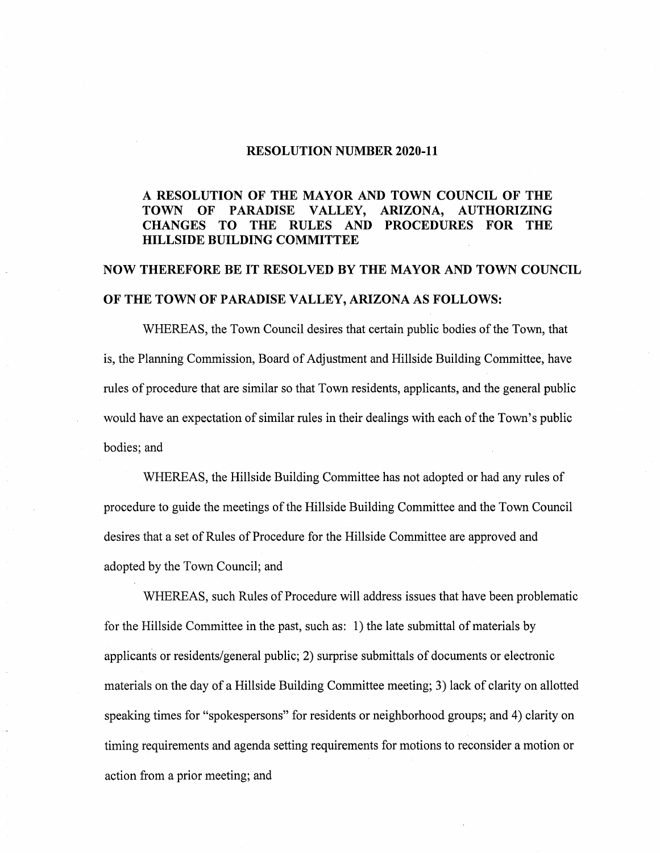#### **RESOLUTION NUMBER 2020-11**

## **A RESOLUTION OF THE MAYOR AND TOWN COUNCIL OF THE TOWN OF PARADISE VALLEY, ARIZONA, AUTHORIZING CHANGES TO THE RULES AND PROCEDURES FOR THE HILLSIDE BUILDING COMMITTEE**

# **NOW THEREFORE BE IT RESOLVED BY THE MAYOR AND TOWN COUNCIL OF THE TOWN OF PARADISE VALLEY, ARIZONA AS FOLLOWS:**

WHEREAS, the Town Council desires that certain public bodies of the Town, that is, the Planning Commission, Board of Adjustment and Hillside Building Committee, have rules of procedure that are similar so that Town residents, applicants, and the general public would have an expectation of similar rules in their dealings with each of the Town's public bodies; and

WHEREAS, the Hillside Building Committee has not adopted or had any rules of procedure to guide the meetings of the Hillside Building Committee and the Town Council desires that a set of Rules of Procedure for the Hillside Committee are approved and adopted by the Town Council; and

WHEREAS, such Rules of Procedure will address issues that have been problematic for the Hillside Committee in the past, such as: 1) the late submittal of materials by applicants or residents/general public; 2) surprise submittals of documents or electronic materials on the day of a Hillside Building Committee meeting; 3) lack of clarity on allotted speaking times for "spokespersons" for residents or neighborhood groups; and 4) clarity on timing requirements and agenda setting requirements for motions to reconsider a motion or action from a prior meeting; and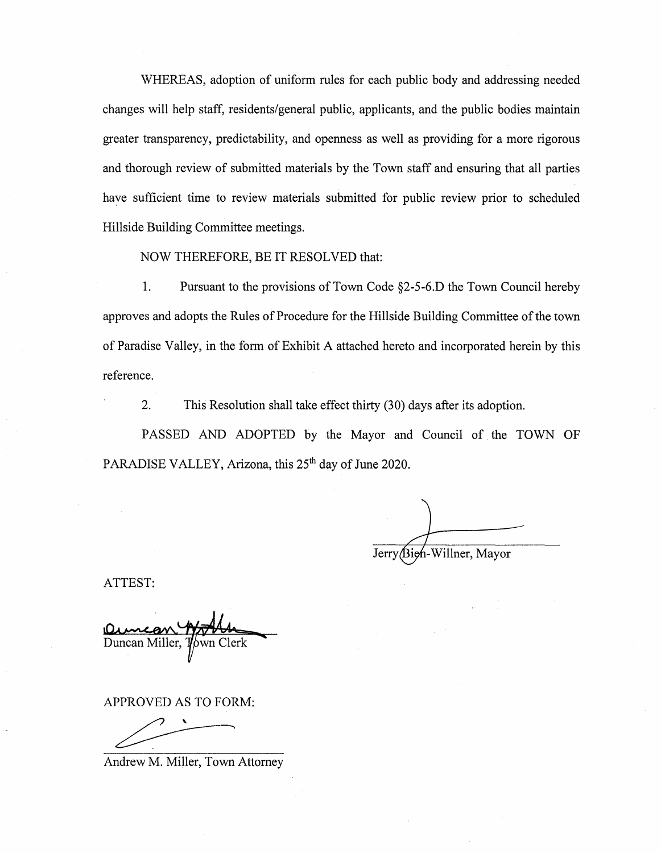WHEREAS, adoption of uniform rules for each public body and addressing needed changes will help staff, residents/general public, applicants, and the public bodies maintain greater transparency, predictability, and openness as well as providing for a more rigorous and thorough review of submitted materials by the Town staff and ensuring that all parties haye sufficient time to review materials submitted for public review prior to scheduled Hillside Building Committee meetings.

NOW THEREFORE, BE IT RESOLVED that:

1. Pursuant to the provisions of Town Code §2-5-6.D the Town Council hereby approves and adopts the Rules of Procedure for the Hillside Building Committee of the town of Paradise Valley, in the form of Exhibit A attached hereto and incorporated herein by this reference.

2. This Resolution shall take effect thirty (30) days after its adoption.

PASSED AND ADOPTED by the Mayor and Council of the TOWN OF PARADISE VALLEY, Arizona, this 25<sup>th</sup> day of June 2020.

Jerry

ATTEST:

Duncan Miller,

APPROVED AS TO FORM:

Andrew M. Miller, Town Attorney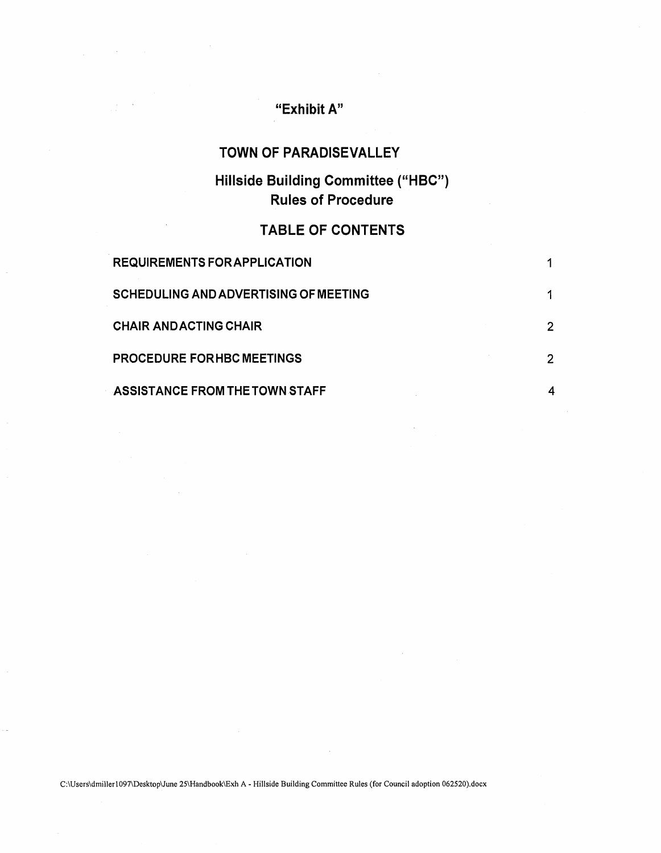# **"Exhibit A"**

# **TOWN OF PARADISEVALLEY**

# **Hillside Building Committee ("HBC") Rules of Procedure**

# **TABLE OF CONTENTS**

| <b>REQUIREMENTS FOR APPLICATION</b>          |  |
|----------------------------------------------|--|
| <b>SCHEDULING AND ADVERTISING OF MEETING</b> |  |
| <b>CHAIR ANDACTING CHAIR</b>                 |  |
| <b>PROCEDURE FORHBC MEETINGS</b>             |  |
| ASSISTANCE FROM THE TOWN STAFF               |  |

C:\Users\dmillerl097\Desktop\June 25\Handbook\Exh A - Hillside Building Committee Rules (for Council adoption 062520).docx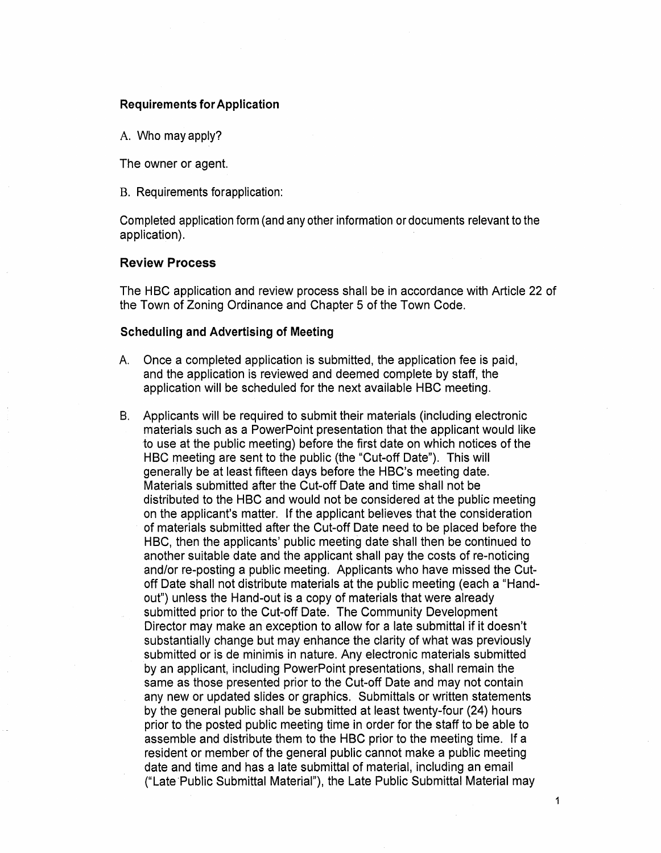#### **Requirements for Application**

A. Who may apply?

The owner or agent.

B. Requirements forapplication:

Completed application form (and any other information or documents relevant to the application).

#### **Review Process**

The HBC application and review process shall be in accordance with Article 22 of the Town of Zoning Ordinance and Chapter 5 of the Town Code.

### **Scheduling and Advertising of Meeting**

- A. Once a completed application is submitted, the application fee is paid, and the application is reviewed and deemed complete by staff, the application will be scheduled for the next available HBC meeting.
- B. Applicants will be required to submit their materials (including electronic materials such as a PowerPoint presentation that the applicant would like to use at the public meeting) before the first date on which notices of the HBC meeting are sent to the public (the "Cut-off Date"). This will generally be at least fifteen days before the HBC's meeting date. Materials submitted after the Cut-off Date and time shall not be distributed to the HBC and would not be considered at the public meeting on the applicant's matter. If the applicant believes that the consideration of materials submitted after the Cut-off Date need to be placed before the HBC, then the applicants' public meeting date shall then be continued to another suitable date and the applicant shall pay the costs of re-noticing and/or re-posting a public meeting. Applicants who have missed the Cutoff Date shall not distribute materials at the public meeting (each a "Handout") unless the Hand-out is a copy of materials that were already submitted prior to the Cut-off Date. The Community Development Director may make an exception to allow for a late submittal if it doesn't substantially change but may enhance the clarity of what was previously submitted or is de minimis in nature. Any electronic materials submitted by an applicant, including PowerPoint presentations, shall remain the same as those presented prior to the Cut-off Date and may not contain any new or updated slides or graphics. Submittals or written statements by the general public shall be submitted at least twenty-four (24) hours prior to the posted public meeting time in order for the staff to be able to assemble and distribute them to the HBC prior to the meeting time. If a resident or member of the general public cannot make a public meeting date and time and has a late submittal of material, including an email ("Late Public Submittal Material"), the Late Public Submittal Material may

1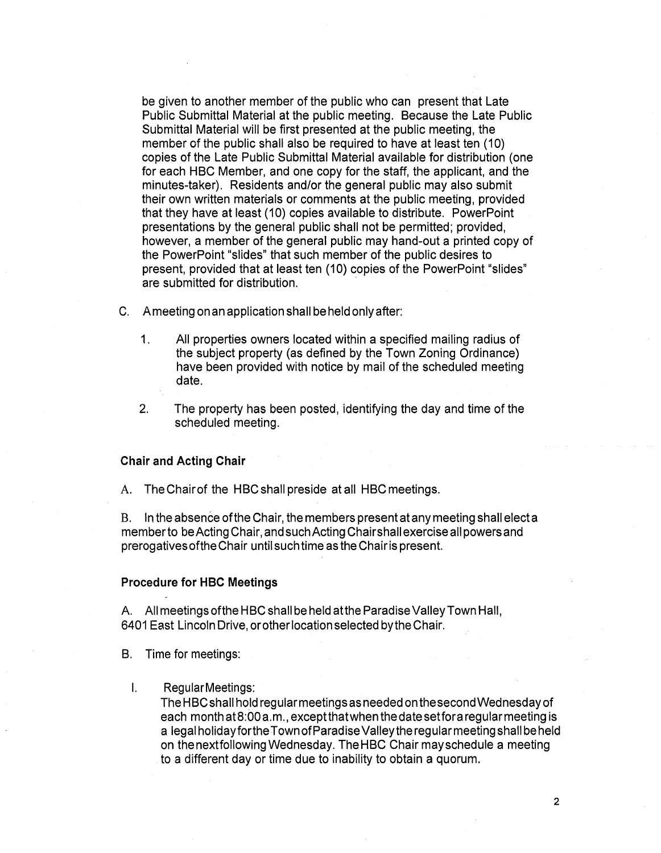be given to another member of the public who can present that Late Public Submittal Material at the public meeting. Because the Late Public Submittal Material will be first presented at the public meeting, the member of the public shall also be required to have at least ten (10) copies of the Late Public Submittal Material available for distribution (one for each HBC Member, and one copy for the staff, the applicant, and the minutes-taker). Residents and/or the general public may also submit their own written materials or comments at the public meeting, provided that they have at least (10) copies available to distribute. PowerPoint presentations by the general public shall not be permitted; provided, however, a member of the general public may hand-out a printed copy of the PowerPoint "slides" that such member of the public desires to present, provided that at least ten (10) copies of the PowerPoint "slides" are submitted for distribution.

C. A meeting on an application shall be held only after:

- 1. All properties owners located within a specified mailing radius of the subject property (as defined by the Town Zoning Ordinance) have been provided with notice by mail of the scheduled meeting date.
- 2. The property has been posted, identifying the day and time of the scheduled meeting.

#### **Chair and Acting Chair**

A. The Chair of the HBC shall preside at all HBC meetings.

B. In the absence of the Chair, the members present at any meeting shall elect a member to be Acting Chair, and such Acting Chairshall exercise all powers and prerogatives of the Chair until such time as the Chair is present.

#### **Procedure for HBC Meetings**

A. All meetings of the HBC shall be held at the Paradise Valley Town Hall, 6401 East Lincoln Drive, or other location selected by the Chair.

B. Time for meetings:

I. Regular Meetings:

The HBC shall hold regular meetings as needed on thesecondWednesday of each month at 8:00 a.m., except that when the date set fora regular meeting is a legal holidayforthe Town of Paradise Valleytheregularmeeting shall beheld on thenextfollowingWednesday. The HBC Chair may schedule a meeting to a different day or time due to inability to obtain a quorum.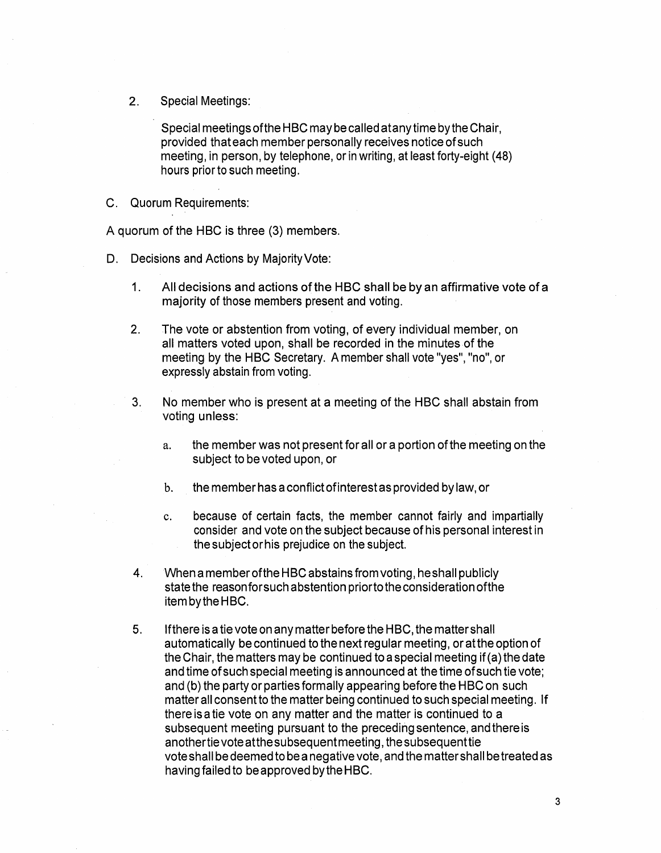2. Special Meetings:

Special meetings of the HBC may be called atanytime by the Chair, provided that each member personally receives notice of such meeting, in person, by telephone, or in writing, at least forty-eight (48) hours prior to such meeting.

C. Quorum Requirements:

A quorum of the HBC is three (3) members.

- D. Decisions and Actions by Majority Vote:
	- 1. All decisions and actions of the HBC shall be by an affirmative vote of a majority of those members present and voting.
	- 2. The vote or abstention from voting, of every individual member, on all matters voted upon, shall be recorded in the minutes of the meeting by the HBC Secretary. A member shall vote "yes", "no", or expressly abstain from voting.
	- 3. No member who is present at a meeting of the HBC shall abstain from voting unless:
		- a. the member was not present for all or a portion of the meeting on the subject to be voted upon, or
		- b. the member has a conflict of interest as provided by law, or
		- c. because of certain facts, the member cannot fairly and impartially consider and vote on the subject because of his personal interest in the subject or his prejudice on the subject.
	- 4. When a member of the HBC abstains from voting, he shall publicly state the reason for such abstention prior to the consideration of the itembytheHBC.
	- 5. If there is a tie vote on any matter before the HBC, the matter shall automatically be continued to the next regular meeting, or at the option of the Chair, the matters may be continued to a special meeting if (a) the date and time of such special meeting is announced at the time of such tie vote; and (b) the party or parties formally appearing before the HBC on such matter all consent to the matter being continued to such special meeting. If there is a tie vote on any matter and the matter is continued to a subsequent meeting pursuant to the preceding sentence, and there is anothertievoteatthesubsequentmeeting, thesubsequenttie vote shall be deemed to be a negative vote, and the matter shall be treated as having failed to be approved bytheHBC.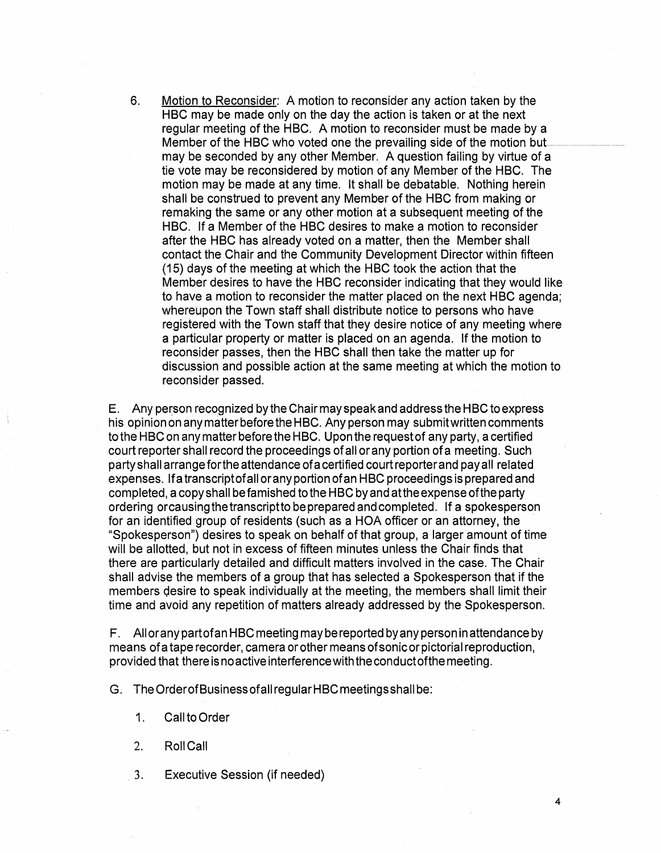6. Motion to Reconsider: A motion to reconsider any action taken by the HBC may be made only on the day the action is taken or at the next regular meeting of the HBC. A motion to reconsider must be made by a Member of the HBC who voted one the prevailing side of the motion buLmay be seconded by any other Member. A question failing by virtue of a tie vote may be reconsidered by motion of any Member of the HBC. The motion may be made at any time. It shall be debatable. Nothing herein shall be construed to prevent any Member of the HBC from making or remaking the same or any other motion at a subsequent meeting of the HBC. If a Member of the HBC desires to make a motion to reconsider after the HBC has already voted on a matter, then the Member shall contact the Chair and the Community Development Director within fifteen (15) days of the meeting at which the HBC took the action that the Member desires to have the HBC reconsider indicating that they would like to have a motion to reconsider the matter placed on the next HBC agenda; whereupon the Town staff shall distribute notice to persons who have registered with the Town staff that they desire notice of any meeting where a particular property or matter is placed on an agenda. If the motion to reconsider passes, then the HBC shall then take the matter up for discussion and possible action at the same meeting at which the motion to reconsider passed.

E. Any person recognized bytheChairmayspeakand address the HBC to express his opinion on any matter before the HBC. Any person may submit written comments to the HBC on any matter before the HBC. Upon the request of any party, a certified court reporter shall record the proceedings of all or any portion ofa meeting. Such party shall arrange for the attendance of a certified court reporter and pay all related expenses. lfa transcriptofall or any portion ofan HBC proceedings is prepared and completed, a copy shall be famished to the HBC by and atthe expense of the party ordering or causing the transcriptto be prepared and completed. If a spokesperson for an identified group of residents (such as a HOA officer or an attorney, the "Spokesperson") desires to speak on behalf of that group, a larger amount of time will be allotted, but not in excess of fifteen minutes unless the Chair finds that there are particularly detailed and difficult matters involved in the case. The Chair shall advise the members of a group that has selected a Spokesperson that if the members desire to speak individually at the meeting, the members shall limit their time and avoid any repetition of matters already addressed by the Spokesperson.

F. Alloranypartofan HBC meeting maybe reported byanypersoninattendance by means of a tape recorder, camera or other means of sonic or pictorial reproduction, provided that thereisnoactiveinterferencewiththeconductofthemeeting.

G. The OrderofBusinessofall regular HBC meetings shall be:

- 1. Call to Order
- 2. RollCall
- 3. Executive Session (if needed)

4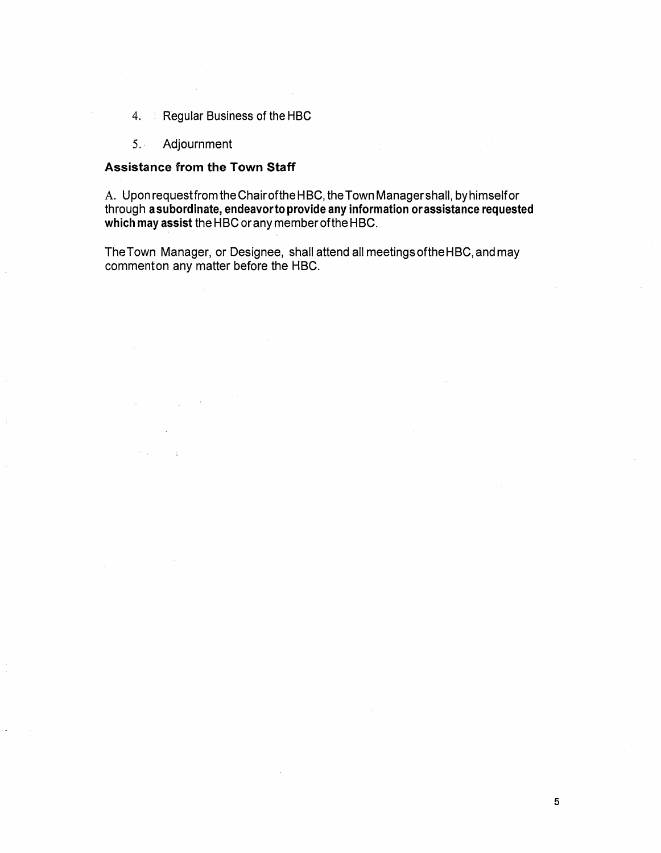- 4. Regular Business of the HBC
- 5.. Adjournment

### **Assistance from the Town Staff**

A. Upon request from the Chairofthe HBC, the Town Manager shall, by himself or through **a subordinate, endeavorto provide any information or assistance requested which may assist** the HBC or any member of the HBC.

The Town Manager, or Designee, shall attend all meetingsoftheHBC, and may commenton any matter before the HBC.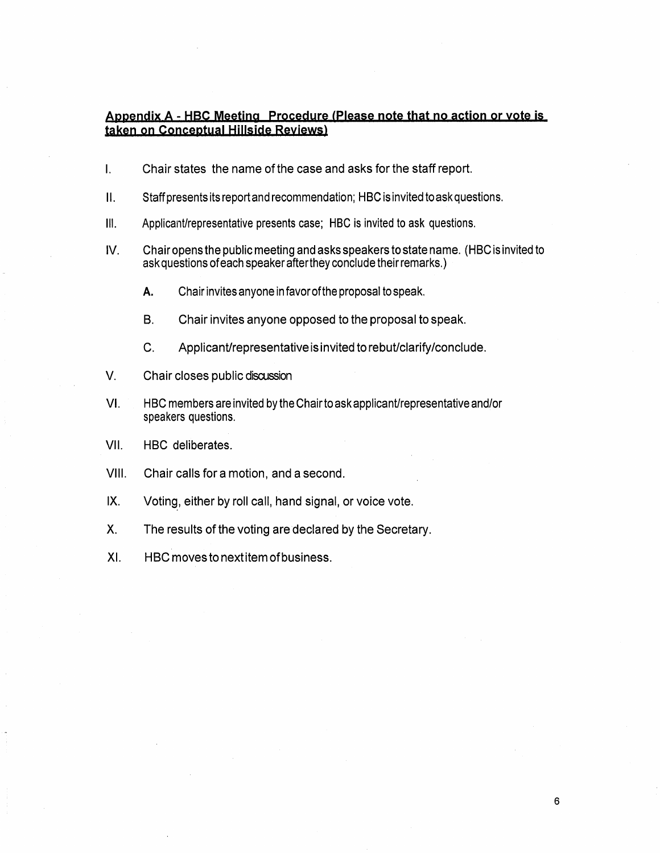## **Appendix A - HBC Meeting Procedure <Please note that no action or vote is taken on conceptual Hillside Reyiews)**

- I. Chair states the name of the case and asks for the staff report.
- II. Staff presents its report and recommendation; HBC is invited to ask questions.
- Ill. Applicant/representative presents case; HBC is invited to ask questions.
- IV. Chair opens the public meeting and asks speakers to state name. (HBC is invited to ask questions of each speaker after they conclude their remarks.)
	- A. Chair invites anyone in favor of the proposal to speak.
	- B. Chair invites anyone opposed to the proposal to speak.
	- C. Applicant/representative is invited to rebut/clarify/conclude.
- V. Chair closes public discussion
- VI. HBC members are invited by the Chair to ask applicant/representative and/or speakers questions.
- VII. HBC deliberates.
- VIII. Chair calls for a motion, and a second.
- IX. Voting, either by roll call, hand signal, or voice vote.
- X. The results of the voting are declared by the Secretary.
- XI. HBC moves to next item of business.